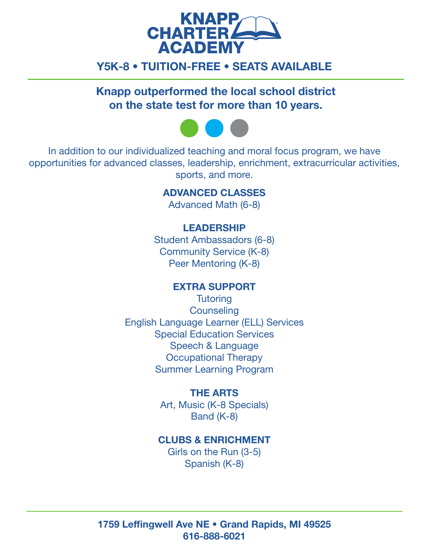

# Y5K-8 • TUITION-FREE • SEATS AVAILABLE

Knapp outperformed the local school district on the state test for more than 10 years.



In addition to our individualized teaching and moral focus program, we have opportunities for advanced classes, leadership, enrichment, extracurricular activities, sports, and more.

## ADVANCED CLASSES

Advanced Math (6-8)

## LEADERSHIP

Student Ambassadors (6-8) Community Service (K-8) Peer Mentoring (K-8)

## EXTRA SUPPORT

**Tutoring Counseling** English Language Learner (ELL) Services Special Education Services Speech & Language Occupational Therapy Summer Learning Program

#### THE ARTS

Art, Music (K-8 Specials) Band (K-8)

## CLUBS & ENRICHMENT

Girls on the Run (3-5) Spanish (K-8)

1759 Leffingwell Ave NE • Grand Rapids, MI 49525 616-888-6021